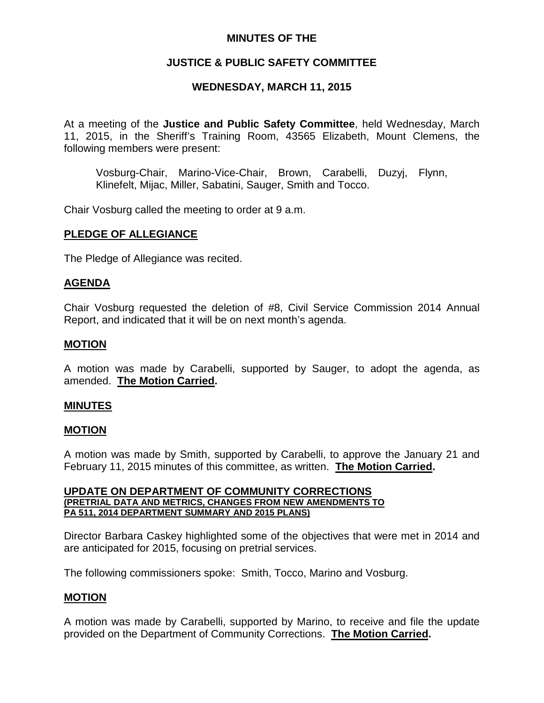## **MINUTES OF THE**

# **JUSTICE & PUBLIC SAFETY COMMITTEE**

# **WEDNESDAY, MARCH 11, 2015**

At a meeting of the **Justice and Public Safety Committee**, held Wednesday, March 11, 2015, in the Sheriff's Training Room, 43565 Elizabeth, Mount Clemens, the following members were present:

Vosburg-Chair, Marino-Vice-Chair, Brown, Carabelli, Duzyj, Flynn, Klinefelt, Mijac, Miller, Sabatini, Sauger, Smith and Tocco.

Chair Vosburg called the meeting to order at 9 a.m.

# **PLEDGE OF ALLEGIANCE**

The Pledge of Allegiance was recited.

### **AGENDA**

Chair Vosburg requested the deletion of #8, Civil Service Commission 2014 Annual Report, and indicated that it will be on next month's agenda.

### **MOTION**

A motion was made by Carabelli, supported by Sauger, to adopt the agenda, as amended. **The Motion Carried.**

### **MINUTES**

### **MOTION**

A motion was made by Smith, supported by Carabelli, to approve the January 21 and February 11, 2015 minutes of this committee, as written. **The Motion Carried.**

#### **UPDATE ON DEPARTMENT OF COMMUNITY CORRECTIONS (PRETRIAL DATA AND METRICS, CHANGES FROM NEW AMENDMENTS TO PA 511, 2014 DEPARTMENT SUMMARY AND 2015 PLANS)**

Director Barbara Caskey highlighted some of the objectives that were met in 2014 and are anticipated for 2015, focusing on pretrial services.

The following commissioners spoke: Smith, Tocco, Marino and Vosburg.

### **MOTION**

A motion was made by Carabelli, supported by Marino, to receive and file the update provided on the Department of Community Corrections. **The Motion Carried.**